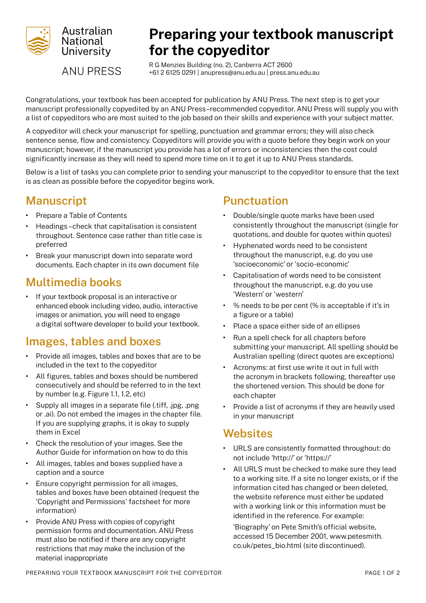

# **Preparing your textbook manuscript for the copyeditor**

**ANU PRESS** 

R G Menzies Building (no. 2), Canberra ACT 2600 +61 2 6125 0291 | [anupress@anu.edu.au](mailto:anupress%40anu.edu.au?subject=) | [press.anu.edu.au](http://press.anu.edu.au)

Congratulations, your textbook has been accepted for publication by ANU Press. The next step is to get your manuscript professionally copyedited by an ANU Press–recommended copyeditor. ANU Press will supply you with a list of copyeditors who are most suited to the job based on their skills and experience with your subject matter.

A copyeditor will check your manuscript for spelling, punctuation and grammar errors; they will also check sentence sense, flow and consistency. Copyeditors will provide you with a quote before they begin work on your manuscript; however, if the manuscript you provide has a lot of errors or inconsistencies then the cost could significantly increase as they will need to spend more time on it to get it up to ANU Press standards.

Below is a list of tasks you can complete prior to sending your manuscript to the copyeditor to ensure that the text is as clean as possible before the copyeditor begins work.

# **Manuscript**

- **•** Prepare a Table of Contents
- **•** Headings check that capitalisation is consistent throughout. Sentence case rather than title case is preferred
- **•** Break your manuscript down into separate word documents. Each chapter in its own document file

# **Multimedia books**

**•** If your textbook proposal is an interactive or enhanced ebook including video, audio, interactive images or animation, you will need to engage a digital software developer to build your textbook.

# **Images, tables and boxes**

- **•** Provide all images, tables and boxes that are to be included in the text to the copyeditor
- **•** All figures, tables and boxes should be numbered consecutively and should be referred to in the text by number (e.g. Figure 1.1, 1.2, etc)
- **•** Supply all images in a separate file (.tiff, .jpg, .png or .ai). Do not embed the images in the chapter file. If you are supplying graphs, it is okay to supply them in Excel
- **•** Check the resolution of your images. See the Author Guide for information on how to do this
- **•** All images, tables and boxes supplied have a caption and a source
- **•** Ensure copyright permission for all images, tables and boxes have been obtained (request the 'Copyright and Permissions' factsheet for more information)
- **•** Provide ANU Press with copies of copyright permission forms and documentation. ANU Press must also be notified if there are any copyright restrictions that may make the inclusion of the material inappropriate

#### **Punctuation**

- **•** Double/single quote marks have been used consistently throughout the manuscript (single for quotations, and double for quotes within quotes)
- **•** Hyphenated words need to be consistent throughout the manuscript, e.g. do you use 'socioeconomic' or 'socio-economic'
- **•** Capitalisation of words need to be consistent throughout the manuscript, e.g. do you use 'Western' or 'western'
- **•** % needs to be per cent (% is acceptable if it's in a figure or a table)
- **•** Place a space either side of an ellipses
- **•** Run a spell check for all chapters before submitting your manuscript. All spelling should be Australian spelling (direct quotes are exceptions)
- **•** Acronyms: at first use write it out in full with the acronym in brackets following, thereafter use the shortened version. This should be done for each chapter
- **•** Provide a list of acronyms if they are heavily used in your manuscript

### **Websites**

- **•** URLS are consistently formatted throughout: do not include 'http://' or 'https://'
- **•** All URLS must be checked to make sure they lead to a working site. If a site no longer exists, or if the information cited has changed or been deleted, the website reference must either be updated with a working link or this information must be identified in the reference. For example:

'Biography' on Pete Smith's official website, accessed 15 December 2001, www.petesmith. co.uk/petes\_bio.html (site discontinued).